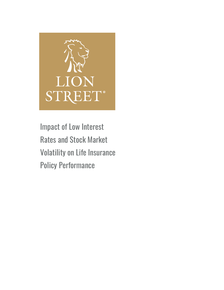

Impact of Low Interest Rates and Stock Market Volatility on Life Insurance Policy Performance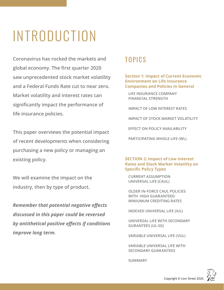# <span id="page-1-0"></span>INTRODUCTION

**Coronavirus has rocked the markets and global economy. The first quarter 2020 saw unprecedented stock market volatility and a Federal Funds Rate cut to near zero. Market volatility and interest rates can significantly impact the performance of life insurance policies.** 

**This paper overviews the potential impact of recent developments when considering purchasing a new policy or managing an existing policy.**

**We will examine the impact on the industry, then by type of product.** 

*Remember that potential negative effects discussed in this paper could be reversed by antithetical positive effects if conditions improve long term.*

### TOPICS

#### **Section 1: [Impact of Current Economic](#page-2-0)  [Environment on Life Insurance](#page-2-0)  [Companies and Policies In General](#page-2-0)**

**[LIFE INSURANCE COMPANY](#page-2-0)  [FINANCIAL STRENGTH](#page-2-0)**

**[IMPACT OF LOW INTEREST RATES](#page-3-0)**

**[IMPACT OF STOCK MARKET VOLATILITY](#page-4-0)**

**[EFFECT ON POLICY AVAILABILITY](#page-4-0)**

**[PARTICIPATING WHOLE LIFE \(WL\)](#page-5-0)**

#### **SECTION 2: [Impact of Low Interest](#page-5-0)  [Rates and Stock Market Volatility on](#page-5-0)  [Specific Policy Types](#page-5-0)**

**[CURRENT ASSUMPTION](#page-6-0)  [UNIVERSAL LIFE \(CAUL\)](#page-6-0)**

**[OLDER IN-FORCE CAUL POLICIES](#page-7-0)  [WITH HIGH GUARANTEED](#page-7-0)  [MINIUMUM CREDITING RATES](#page-7-0)**

**[INDEXED UNIVERSAL LIFE \(IUL\)](#page-8-0)**

**[UNIVERSAL LIFE WITH SECONDARY](#page-10-0)  [GURANTEES \(UL-SG\)](#page-10-0)**

**[VARIABLE UNIVERSAL LIFE \(VUL\)](#page-11-0)**

**[VARIABLE UNIVERSAL LIFE WITH](#page-13-0)  [SECONDARY GUARANTEES](#page-13-0)**

**[SUMMARY](#page-14-0)**

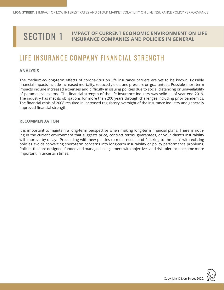## <span id="page-2-0"></span>SECTION 1

#### **IMPACT OF CURRENT ECONOMIC ENVIRONMENT ON LIFE INSURANCE COMPANIES AND POLICIES IN GENERAL**

### LIFE INSURANCE COMPANY FINANCIAL STRENGTH

#### **ANALYSIS**

The medium-to-long-term effects of coronavirus on life insurance carriers are yet to be known. Possible financial impacts include increased mortality, reduced yields, and pressure on guarantees. Possible short-term impacts include increased expenses and difficulty in issuing policies due to social distancing or unavailability of paramedical exams. The financial strength of the life insurance industry was solid as of year-end 2019. The industry has met its obligations for more than 200 years through challenges including prior pandemics. The financial crisis of 2008 resulted in increased regulatory oversight of the insurance industry and generally improved financial strength.

#### **RECOMMENDATION**

It is important to maintain a long-term perspective when making long-term financial plans. There is nothing in the current environment that suggests price, contract terms, guarantees, or your client's insurability will improve by delay. Proceeding with new policies to meet needs and "sticking to the plan" with existing policies avoids converting short-term concerns into long-term insurability or policy performance problems. Policies that are designed, funded and managed in alignment with objectives and risk tolerance become more important in uncertain times.

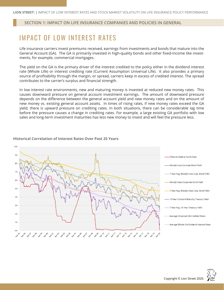#### <span id="page-3-0"></span>**SECTION 1: IMPACT ON LIFE INSURANCE COMPANIES AND POLICIES IN GENERAL**

### IMPACT OF LOW INTEREST RATES

Life insurance carriers invest premiums received, earnings from investments and bonds that mature into the General Account (GA). The GA is primarily invested in high-quality bonds and other fixed-income like investments, for example, commercial mortgages.

The yield on the GA is the primary driver of the interest credited to the policy either in the dividend interest rate (Whole Life) or interest crediting rate (Current Assumption Universal Life). It also provides a primary source of profitability through the margin, or spread, carriers keep in excess of credited interest. The spread contributes to the carrier's surplus and financial strength.

In low interest rate environments, new and maturing money is invested at reduced new money rates. This causes downward pressure on general account investment earnings. The amount of downward pressure depends on the difference between the general account yield and new money rates and on the amount of new money vs. existing general account assets. In times of rising rates, if new money rates exceed the GA yield, there is upward pressure on crediting rates. In both situations, there can be considerable lag time before the pressure causes a change in crediting rates. For example, a large existing GA portfolio with low sales and long-term investment maturities has less new money to invest and will feel the pressure less.

#### **Historical Correlation of Interest Rates Over Past 25 Years**



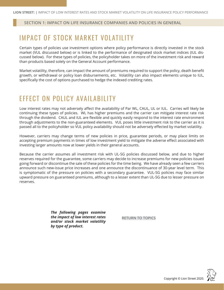#### <span id="page-4-0"></span>**SECTION 1: IMPACT ON LIFE INSURANCE COMPANIES AND POLICIES IN GENERAL**

### IMPACT OF STOCK MARKET VOLATILITY

Certain types of policies use investment options where policy performance is directly invested in the stock market (VUL discussed below) or is linked to the performance of designated stock market indices (IUL discussed below). For these types of policies, the policyholder takes on more of the investment risk and reward than products based solely on the General Account performance.

Market volatility, therefore, can impact the amount of premiums required to support the policy, death benefit growth, or withdrawal or policy loan disbursements, etc. Volatility can also impact elements unique to IUL, specifically the cost of options purchased to hedge the indexed crediting rates.

### EFFECT ON POLICY AVAILABILITY

Low interest rates may not adversely affect the availability of Par WL, CAUL, UL or IUL. Carries will likely be continuing these types of policies. WL has higher premiums and the carrier can mitigate interest rate risk through the dividend. CAUL and IUL are flexible and quickly easily respond to the interest rate environment through adjustments to the non-guaranteed elements. VUL poses little investment risk to the carrier as it is passed all to the policyholder so VUL policy availability should not be adversely effected by market volatility.

However, carriers may change terms of new policies in price, guarantee periods, or may place limits on accepting premium payments in times of low investment yield to mitigate the adverse effect associated with investing larger amounts now at lower yields in their general accounts.

Because the carrier assumes all investment risk with UL-SG policies discussed below, and due to higher reserves required for the guarantee, some carriers may decide to increase premiums for new policies issued going forward or discontinue the sale of these policies for the time being. We have already seen a few carriers announce such new-issue price increases and one announce the discontinuance of 30-year level term. This is symptomatic of the pressure on policies with a secondary guarantee. VUL-SG policies may face similar upward pressure on guaranteed premiums, although to a lesser extent than UL-SG due to lesser pressure on reserves.

> *The following pages examine the impact of low interest rates and/or stock market volatility by type of product.*

**[RETURN TO TOPICS](#page-1-0)**

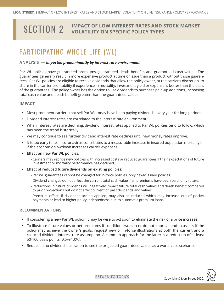## <span id="page-5-0"></span>SECTION 2 **IMPACT OF LOW INTEREST RATES AND STOCK MARKET VOLATILITY ON SPECIFIC POLICY TYPES**

### PARTICIPATING WHOLE LIFE (WL)

#### **ANALYSIS —** *Impacted predominantly by interest rate environment*

Par WL policies have guaranteed premiums, guaranteed death benefits and guaranteed cash values. The guarantees generally result in more expensive product at time of issue than a product without those guarantees. Par WL policies are eligible to receive dividends that allow the policy owner, at the carrier's discretion, to share in the carrier profitability if experience in mortality, investment yield or expense is better than the basis of the guarantees. The policy owner has the option to use dividends to purchase paid-up additions, increasing total cash value and death benefit greater than the guaranteed values.

#### **IMPACT**

- Most prominent carriers that sell Par WL today have been paying dividends every year for long periods.
- Dividend interest rates are correlated to the interest rate environment.
- When interest rates are declining, dividend interest rates applied to Par WL policies tend to follow, which has been the trend historically.
- We may continue to see further dividend interest rate declines until new money rates improve.
- It is too early to tell if coronavirus contributes to a measurable increase in insured population mortality or if the economic slowdown increases carrier expenses.
- **• Effect on new Par WL policies:** 
	- -Carriers may reprice new policies with increased costs or reduced guarantees if their expectations of future investment or mortality performance has declined.
- **• Effect of reduced future dividends on existing policies:**
	- -Par WL guarantees cannot be changed for in-force policies, only newly issued policies.
	- -Dividend changes do not affect the current total cash value if all premiums have been paid, only future.
	- -Reductions in future dividends will negatively impact future total cash values and death benefit compared to prior projections but do not affect current or past dividends and values.
	- -Premium offset, if dividends are so applied, may also be reduced which may increase out of pocket payments or lead to higher policy indebtedness due to automatic premium loans.

#### **RECOMMENDATIONS**

- If considering a new Par WL policy, it may be wise to act soon to eliminate the risk of a price increase.
- To illustrate future values or net premiums if conditions worsen or do not improve and to assess if the policy may achieve the owner's goals, request new or in-force illustrations at both the current and a reduced dividend interest rate assumption. A common approach for the latter is a reduction of at least 50-100 basis points (0.5%-1.0%).
- Request a no dividend illustration to see the projected guaranteed values as a worst-case scenario.



**[RETURN TO TOPICS](#page-1-0)**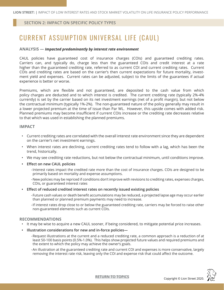### <span id="page-6-0"></span>CURRENT ASSUMPTION UNIVERSAL LIFE (CAUL)

#### **ANALYSIS —** *Impacted predominantly by interest rate environment*

CAUL policies have guaranteed cost of insurance charges (COIs) and guaranteed crediting rates. Carriers can, and typically do, charge less than the guaranteed COIs and credit interest at a rate higher than the guaranteed crediting rate, referred to as current COI and current crediting rates. Current COIs and crediting rates are based on the carrier's then current expectations for future mortality, investment yield and expenses. Current rates can be adjusted, subject to the limits of the guarantees if actual experience is better or worse.

Premiums, which are flexible and not guaranteed, are deposited to the cash value from which policy charges are deducted and to which interest is credited. The current crediting rate (typically 2%-4% currently) is set by the carrier based on its net investment earnings (net of a profit margin), but not below the contractual minimum (typically 1%-2%). The non-guaranteed nature of the policy generally may result in a lower projected premium at the time of issue than Par WL. However, this upside comes with added risk. Planned premiums may become insufficient if current COIs increase or the crediting rate decreases relative to that which was used in establishing the planned premiums.

#### **IMPACT**

- Current crediting rates are correlated with the overall interest rate environment since they are dependent on the carrier's net investment earnings.
- When interest rates are declining, current crediting rates tend to follow with a lag, which has been the trend, historically.
- We may see crediting rate reductions, but not below the contractual minimum, until conditions improve.
- **• Effect on new CAUL policies** 
	- -Interest rates impact the credited rate more than the cost of insurance charges. COIs are designed to be primarily based on mortality and expense assumptions.
	- -New policies may be repriced if conditions don't improve with revisions to crediting rates, expenses charges, COIs, or guaranteed interest rates
- **• Effect of reduced credited interest rates on recently issued existing policies** 
	- -Future cash values or death benefit accumulations may be reduced, a projected lapse age may occur earlier than planned or planned premium payments may need to increase.
	- -If interest rates drop close to or below the guaranteed crediting rate, carriers may be forced to raise other non-guaranteed elements such as current COIs.

- It may be wise to acquire a new CAUL sooner, if being considered, to mitigate potential price increases.
- **• Illustration considerations for new and in-force policies—** 
	- -Request illustrations at the current and a reduced crediting rate, a common approach is a reduction of at least 50-100 basis points (0.5%-1.0%). This helps show projected future values and required premiums and the extent to which the policy may achieve the owner's goals.
	- -An illustration at the guaranteed crediting rate and current COI and expenses is more conservative, largely removing the interest rate risk, leaving only the COI and expense risk that could affect the outcome.

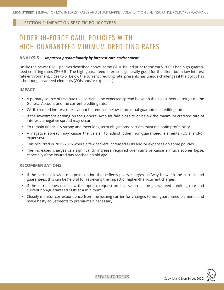### <span id="page-7-0"></span>OLDER IN-FORCE CAUL POLICIES WITH HIGH GUARANTEED MINIMUM CREDITING RATES

#### **ANALYSIS —** *Impacted predominantly by interest rate environment*

Unlike the newer CAUL policies described above, some CAUL issued prior to the early 2000s had high guaranteed crediting rates (3%-6%). The high guaranteed interest is generally good for the client but a low interest rate environment, close to or below the current crediting rate, presents has unique challenges if the policy has other nonguaranteed elements (COIs and/or expenses).

#### **IMPACT**

- A primary source of revenue to a carrier is the expected spread between the investment earnings on the General Account and the current crediting rate.
- CAUL credited interest rates cannot be reduced below contractual guaranteed crediting rate.
- If the investment earning on the General Account falls close to or below the minimum credited rate of interest, a negative spread may occur.
- To remain financially strong and meet long-term obligations, carriers must maintain profitability.
- A negative spread may cause the carrier to adjust other non-guaranteed elements (COIs and/or expenses).
- This occurred in 2015-2016 where a few carriers increased COIs and/or expenses on some policies.
- The increased charges can significantly increase required premiums or cause a much sooner lapse, especially if the insured has reached an old age.

- If the carrier allows a mid-point option that reflects policy charges halfway between the current and guarantees, this can be helpful for reviewing the impact of higher-than-current charges.
- If the carrier does not allow this option, request an illustration at the guaranteed crediting rate and current non-guaranteed COIs at a minimum.
- Closely monitor correspondence from the issuing carrier for changes to non-guaranteed elements and make hasty adjustments to premiums if necessary.

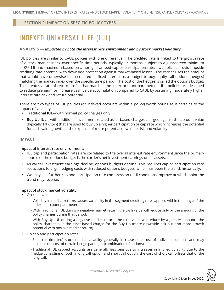### <span id="page-8-0"></span>INDEXED UNIVERSAL LIFE (IUL)

#### **ANALYSIS —** *Impacted by both the interest rate environment and by stock market volatility*

IUL policies are similar to CAUL policies with one difference. The credited rate is linked to the growth rate of a stock market index over specific time periods, typically 12 months, subject to a guaranteed minimum of 0%-1% and maximum based on a non-guaranteed cap or participation rate. IUL policies provide upside crediting rate potential with downside protection against market-based losses. The carrier uses the amount that would have otherwise been credited as fixed interest as a budget to buy equity call options (hedges) matching the market index over the specific time period. The cost of the hedges is called the options budget. This creates a rate of return profile that matches the index account parameters. IUL policies are designed to reduce premium or increase cash value accumulation compared to CAUL by assuming moderately higher interest rate risk and return potential.

There are two types of IUL policies (or indexed accounts within a policy) worth noting as it pertains to the impact of volatility:

- **• Traditional IUL**—with normal policy charges only
- **• Buy-Up IUL**—with additional investment-related asset-based charges charged against the account value (typically 1%-7.5%) that are used to buy up a higher participation or cap rate which increases the potential for cash value growth at the expense of more potential downside risk and volatility.

#### **IMPACT**

#### **Impact of interest rate environment:**

- IUL cap and participation rates are correlated to the overall interest rate environment since the primary source of the options budget is the carrier's net investment earnings on its assets.
- As carrier investment earnings decline, options budgets decline. This requires cap or participation rate reductions to align hedging costs with reduced options budgets, which has been the trend, historically.
- We may see further cap and participation rate compression until conditions improve at which point the trend may reverse.

#### **Impact of stock market volatility:**

- On cash value:
	- -Volatility in market returns causes variability in the segment crediting rates applied within the range of the indexed account parameters
	- -With Traditional IUL during a negative market return, the cash value will reduce only by the amount of the policy charges during that period.

-With Buy-Up IUL during a negative market return, the cash value will reduce by a greater amount—the policy charges plus the asset-based charge for the Buy Up (more downside risk but also more growth potential with positive market return).

- On cap and participation rates
	- -Expected (implied) stock market volatility generally increases the cost of individual options and may increase the cost of certain hedge packages (combination of options).
	- -Traditional IUL capped accounts are generally less sensitive to increases in implied volatility due to the hedge consisting of both a long call option and short call option; the cost of short call offsets that of the long call.

*—continues on next page—*

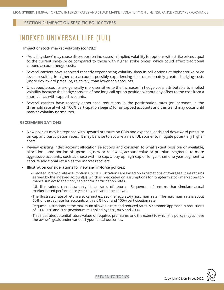### INDEXED UNIVERSAL LIFE (IUL)

#### **Impact of stock market volatility (cont'd.):**

- "Volatility skew" may cause disproportion increases in implied volatility for options with strike prices equal to the current index price compared to those with higher strike prices, which could affect traditional capped account hedge costs.
- Several carriers have reported recently experiencing volatility skew in call options at higher strike price levels resulting in higher cap accounts possibly experiencing disproportionately greater hedging costs (more downward pressure, relatively) than lower cap accounts.
- Uncapped accounts are generally more sensitive to the increases in hedge costs attributable to implied volatility because the hedge consists of one long call option position without any offset to the cost from a short call as with capped accounts.
- Several carriers have recently announced reductions in the participation rates (or increases in the threshold rate at which 100% participation begins) for uncapped accounts and this trend may occur until market volatility normalizes.

- New policies may be repriced with upward pressure on COIs and expense loads and downward pressure on cap and participation rates. It may be wise to acquire a new IUL sooner to mitigate potentially higher costs.
- Review existing index account allocation selections and consider, to what extent possible or available, allocation some portion of upcoming new or renewing account value or premium segments to more aggressive accounts, such as those with no cap, a buy-up high cap or longer-than-one-year segment to capture additional return as the market recovers.
- **• Illustration considerations for new and in-force policies:**
	- -Credited interest rate assumptions in IUL illustrations are based on expectations of average future returns earned by the indexed account(s), which is predicated on assumptions for long-term stock market performance subject to the floor, cap and/or participation rates.
	- -IUL illustrations can show only linear rates of return. Sequences of returns that simulate actual market-based performance year-to-year cannot be shown.
	- -The illustrated rate of return also cannot exceed the regulatory maximum rate. The maximum rate is about 60% of the cap rate for accounts with a 0% floor and 100% participation rate
	- -Request illustrations at the maximum allowable rate and reduced rates. A common approach is reductions of 10%, 20% and 30% (maximum multiplied by 90%, 80% and 70%).
	- -This illustrates potential future values or required premiums, and the extent to which the policy may achieve the owner's goals under various hypothetical outcomes.

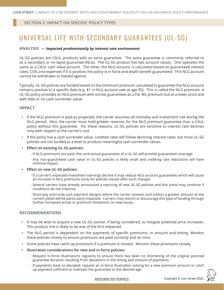### <span id="page-10-0"></span>UNIVERSAL LIFE WITH SECONDARY GUARANTEES (UL-SG)

#### **ANALYSIS —** *Impacted predominantly by interest rate environment*

UL-SG policies are CAUL products with an extra guarantee. The extra guarantee is commonly referred to as a secondary or no-lapse guarantee (NLG). The UL-SG product has two account values. One operates the same as a CAUL cash value account. The other, the NLG account, is calculated based on guaranteed interest rates, COIs and expenses if it is positive, the policy is in force and death benefit guaranteed. This NLG account cannot be withdrawn or loaned against.

Typically, UL-SG policies are funded based on the minimum premium calculated to guarantee the NLG account remains positive to a specific date (e.g. \$1 in NLG account vale at age 95). This is called the NLG premium. A UL-SG policy provides an NLG premium with similar guarantees as a Par WL premium but at a lower price and with little or no cash surrender value.

#### **IMPACT**

- If the NLG premium is paid as projected, the carrier assumes all mortality and investment risk during the NLG period. Also, the carrier must hold greater reserves for the NLG premium guarantee than a CAUL policy without this guarantee. For these reasons, UL-SG policies are sensitive to interest rate declines only with respect to the carrier's cost.
- If the policy has a cash surrender value, credited rates will follow declining interest rates, but most UL-SG policies are not funded at a level to produce meaningful cash surrender values.

#### **• Effect on existing UL-SG policies:**

- -If NLG premiums are paid, the contractual guarantees of a UL-SG will provide guaranteed coverage.
- -Any non-guaranteed cash value in UL-SG policies is likely small and crediting rate reductions will have minimal impact.

#### **• Effect on new UL-SG policies:**

- -If a carrier's expected investment earnings decline it may reduce NLG account guarantees which will cause an increase in NLG premiums (only for policies issued after such change).
- -Several carriers have already announced a repricing of new UL-SG policies and this trend may continue if conditions do not improve.
- -Short-pay and lump sum payment designs where the carrier receives and invests a greater amount at low current yields will be particularly impacted. Carriers may restrict or discourage this type of funding through further increased prices or premium limitations on new issues.

#### **RECOMMENDATIONS**

- It may be wise to acquire a new UL-SG sooner, if being considered, to mitigate potential price increases. This product line is likely to be one of the first impacted.
- The NLG period is dependent on the payments of specific premiums, in amount and timing. Monitor these policies closely to ensure premiums are paid correctly and on time.
- Some policies have catch up provisions if a premium is missed. Monitor these provisions closely.
- **• Illustration considerations for new and in-force policies:**

-Request in-force illustrations regularly to ensure there has been no shortening of the original planned guarantee duration resulting from deviations in the timing and amount of payments.

-If payments have so deviated, request an in-force illustration solving for a new premium amount or catch up payment sufficient to maintain the guarantee to the desired age.

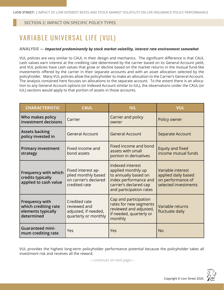### <span id="page-11-0"></span>VARIABLE UNIVERSAL LIFE (VUL)

#### **ANALYSIS —** *Impacted predominantly by stock market volatility, interest rate environment somewhat*

VUL policies are very similar to CAUL in their design and mechanics. The significant difference is that CAUL cash values earn interest at the crediting rate determined by the carrier based on its General Account yield, and VUL policies have cash values that grow or decline based on the market returns in the mutual fund-like investments offered by the carrier in their separate accounts and with an asset allocation selected by the policyholder. Many VUL policies allow the policyholder to make an allocation to the Carrier's General Account. The analysis contained here focuses on allocations to the separate account. To the extent there is an allocation to any General Account options (or Indexed Account similar to IUL), the observations under the CAUL (or IUL) sections would apply to that portion of assets in those accounts.

| <b>CHARACTERISTIC</b>                                                      | <b>CAUL</b>                                                                                                                                                                                      | <b>IUL</b>                                                                                                                                   | <b>VUL</b>                                                                            |
|----------------------------------------------------------------------------|--------------------------------------------------------------------------------------------------------------------------------------------------------------------------------------------------|----------------------------------------------------------------------------------------------------------------------------------------------|---------------------------------------------------------------------------------------|
| Who makes policy<br>investment decisions                                   | Carrier                                                                                                                                                                                          | Carrier and policy<br>owner                                                                                                                  | Policy owner                                                                          |
| <b>Assets backing</b><br>policy invested in                                | <b>General Account</b><br><b>General Account</b>                                                                                                                                                 |                                                                                                                                              | Separate Account                                                                      |
| <b>Primary investment</b><br>strategy                                      | Fixed income and<br>bond assets                                                                                                                                                                  | Fixed income and bond<br>assets with small<br>portion in derivatives                                                                         | Equity and fixed<br>income mutual funds                                               |
| Frequency with which<br>credits typically<br>applied to cash value         | Fixed interest ap-<br>plied monthly based<br>on carrier's declared<br>credited rate                                                                                                              | Indexed interest<br>applied monthly up<br>to annually based on<br>index performance and<br>carrier's declared cap<br>and participation rates | Variable interest<br>applied daily based<br>on performance of<br>selected investments |
| Frequency with<br>which crediting rate<br>elements typically<br>determined | Cap and participation<br>Credited rate<br>rates for new segments<br>reviewed and<br>reviewed and adjusted,<br>adjusted, if needed,<br>if needed, quarterly or<br>quarterly or monthly<br>monthly |                                                                                                                                              | Variable returns<br>fluctuate daily                                                   |
| <b>Guaranteed mini-</b><br>mum crediting rate                              | Yes                                                                                                                                                                                              | Yes                                                                                                                                          | <b>No</b>                                                                             |

VUL provides the highest long-term policyholder performance potential because the policyholder takes all investment risk and receives all the reward.

*—continues on next page—*

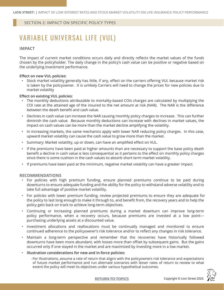### VARIABLE UNIVERSAL LIFE (VUL)

#### **IMPACT**

The impact of current market conditions occurs daily and directly reflects the market values of the funds chosen by the policyholder. The daily change in the policy's cash value can be positive or negative based on the underlying investment performance.

#### **Effect on new VUL policies:**

• Stock market volatility generally has little, if any, effect on the carriers offering VUL because market risk is taken by the policyowner. It is unlikely Carriers will need to change the prices for new policies due to market volatility

#### **Effect on existing VUL policies:**

- The monthly deductions attributable to mortality-based COIs charges are calculated by multiplying the COI rate at the attained age of the insured to the net amount at risk (NAR). The NAR is the difference between the death benefit and cash value.
- Declines in cash value can increase the NAR causing monthly policy charges to increase. This can further diminish the cash value. Because monthly deductions can increase with declines in market values, the impact on cash values can be more than the market decline amplifying the volatility.
- In increasing markets, the same mechanics apply with lower NAR reducing policy charges. In this case, upward market volatility can cause the cash value to grow more than the market.
- Summary: Market volatility, up or down, can have an amplified effect on VUL.
- If the premiums have been paid at higher amounts than are necessary to support the base policy death benefit a decline in cash value is less consequential as it pertains to the effect on monthly policy charges since there is some cushion in the cash values to absorb short term market volatility.
- If premiums have been paid at the minimum, negative market volatility can have a greater impact.

#### **RECOMMENDATIONS**

- For policies with high premium funding, ensure planned premiums continue to be paid during downturns to ensure adequate funding and the ability for the policy to withstand adverse volatility and to take full advantage of positive market volatility.
- For policies with lower premium funding, review projected premiums to ensure they are adequate for the policy to last long enough to make it through to, and benefit from, the recovery years and to help the policy gets back on track to achieve long-term objectives.
- Continuing or increasing planned premiums during a market downturn can improve long-term policy performance, when a recovery occurs, because premiums are invested at a low point purchasing underlying assets at a discounted value.
- Investment allocations and reallocations must be continually managed and monitored to ensure continued adherence to the policyowner's risk tolerance and/or to reflect any changes in risk tolerance.
- Maintain a long-term perspective and remember that the recoveries have historically followed downturns have been more abundant, with losses more than offset by subsequent gains. But the gains occurred only if one stayed in the market and are maximized by investing more in a low market.
- **Illustration considerations for new and in-force policies:**

-For illustrations, assume a rate of return that aligns with the policyowners risk tolerance and expectations of future market performance and run alternate scenarios with lesser rates of return to review to what extent the policy will meet its objectives under various hypothetical outcomes.

**[RETURN TO TOPICS](#page-1-0)**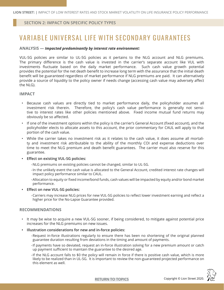### <span id="page-13-0"></span>VARIABLE UNIVERSAL LIFE WITH SECONDARY GUARANTEES

#### **ANALYSIS —** *Impacted predominantly by interest rate environment:*

VUL-SG policies are similar to UL-SG policies as it pertains to the NLG account and NLG premiums. The primary difference is the cash value is invested in the carrier's separate account like VUL with investments fluctuate based on the daily market performance. Such cash value growth potential provides the potential for the net death benefit to increase long term with the assurance that the initial death benefit will be guaranteed regardless of market performance if NLG premiums are paid. It can alternatively provide a source of liquidity to the policy owner if needs change (accessing cash value may adversely affect the NLG).

#### **IMPACT**

- Because cash values are directly tied to market performance daily, the policyholder assumes all investment risk therein. Therefore, the policy's cash value performance is generally not sensitive to interest rates like other policies mentioned above. Fixed income mutual fund returns may obviously be so affected.
- If one of the investment options within the policy is the carrier's General Account (fixed account), and the policyholder elects to allocate assets to this account, the prior commentary for CAUL will apply to that portion of the cash value.
- While the carrier takes no investment risk as it relates to the cash value, it does assume all mortality and investment risk attributable to the ability of the monthly COI and expense deductions over time to meet the NLG premium and death benefit guarantees. The carrier must also reserve for this guarantee.
- **• Effect on existing VUL-SG policies:** 
	- -NLG premiums on existing policies cannot be changed, similar to UL-SG.
	- -In the unlikely event the cash value is allocated to the General Account, credited interest rate changes will impact policy performance similar to CAUL.
	- -Allocation to equity or fixed income/bond funds, cash values will be impacted by equity and/or bond market performance.
- **• Effect on new VUL-SG policies:** 
	- -Carriers may increase NLG prices for new VUL-SG policies to reflect lower investment earning and reflect a higher price for the No-Lapse Guarantee provided.

- It may be wise to acquire a new VUL-SG sooner, if being considered, to mitigate against potential price increases for the NLG premiums on new issues.
- **• Illustration considerations for new and in-force policies:** 
	- -Request in-force illustrations regularly to ensure there has been no shortening of the original planned guarantee duration resulting from deviations in the timing and amount of payments.
	- -If payments have so deviated, request an in-force illustration solving for a new premium amount or catch up payment sufficient to maintain the guarantee to the desired age.
	- -If the NLG account falls to \$0 the policy will remain in force if there is positive cash value, which is more likely to be realized than in UL-SG. It is important to review the non-guaranteed projected performance on this element as well.

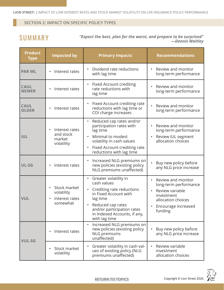### <span id="page-14-0"></span>SUMMARY

*"Expect the best, plan for the worst, and prepare to be surprised" —Dennis Waitley*

| <b>Product</b><br><b>Type</b> | <b>Impacted by</b>                                                    | <b>Primary Impacts</b>                                                                                                                                                                                                               | <b>Recommendations</b>                                                                                                                                         |
|-------------------------------|-----------------------------------------------------------------------|--------------------------------------------------------------------------------------------------------------------------------------------------------------------------------------------------------------------------------------|----------------------------------------------------------------------------------------------------------------------------------------------------------------|
| <b>PAR WL</b>                 | Interest rates<br>$\bullet$                                           | Dividend rate reductions<br>with lag time                                                                                                                                                                                            | Review and monitor<br>long-term performance                                                                                                                    |
| <b>CAUL</b><br><b>NEWER</b>   | Interest rates<br>$\bullet$                                           | <b>Fixed Account crediting</b><br>rate reductions with<br>lag time                                                                                                                                                                   | Review and monitor<br>long-term performance                                                                                                                    |
| <b>CAUL</b><br><b>OLDER</b>   | Interest rates<br>$\bullet$                                           | Fixed Account crediting rate<br>reductions with lag time or<br>COI charge increases                                                                                                                                                  | Review and monitor<br>$\bullet$<br>long-term performance                                                                                                       |
| <b>IUL</b>                    | Interest rates<br>$\bullet$<br>and stock<br>market<br>volatility      | Reduced cap rates and/or<br>$\bullet$<br>participation rates with<br>lag time<br>Minimal to modest<br>volatility in cash values<br>Fixed Account crediting rate<br>reductions with lag time                                          | Review and monitor<br>long-term performance<br>Review IUL segment<br>$\bullet$<br>allocation choices                                                           |
| <b>UL-SG</b>                  | Interest rates                                                        | Increased NLG premiums on<br>new policies (existing policy<br>NLG premiums unaffected)                                                                                                                                               | Buy new policy before<br>any NLG price increase                                                                                                                |
| <b>VUL</b>                    | Stock market<br>volatility<br>Interest rates<br>$\bullet$<br>somewhat | Greater volatility in<br>$\bullet$<br>cash values<br>Crediting rate reductions<br>$\bullet$<br>in Fixed Account with<br>lag time<br>Reduced cap rates<br>and/or participation rates<br>in Indexed Accounts, if any,<br>with lag time | Review and monitor<br>$\bullet$<br>long-term performance<br>Review variable<br>investment<br>allocation choices<br>Encourage increased<br>$\bullet$<br>funding |
| <b>VUL-SG</b>                 | Interest rates<br>$\bullet$                                           | Increased NLG premiums on<br>$\bullet$<br>new policies (existing policy<br>NLG premiums<br>unaffected)                                                                                                                               | Buy new policy before<br>any NLG price increase                                                                                                                |
|                               | Stock market<br>volatility                                            | Greater volatility in cash val-<br>ues of existing policy (NLG<br>premiums unaffected)                                                                                                                                               | Review variable<br>$\bullet$<br>investment<br>allocation choices                                                                                               |

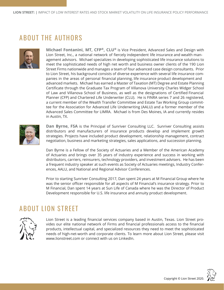### ABOUT THE AUTHORS



**Michael Fontanini, MT, CFP®, CLU®** is Vice President, Advanced Sales and Design with Lion Street, Inc., a national network of fiercely independent life insurance and wealth management advisors. Michael specializes in developing sophisticated life insurance solutions to meet the sophisticated needs of high net worth and business owner clients of the 190 Lion Street Firms nationwide and manages a team of four advanced case design consultants. Prior to Lion Street, his background consists of diverse experience with several life insurance companies in the areas of personal financial planning, life insurance product development and advanced markets. Michael has earned a Master of Taxation (MT) Degree and Estate Planning Certificate through the Graduate Tax Program of Villanova University Charles Widger School of Law and Villanova School of Business, as well as the designations of Certified Financial Planner (CFP) and Chartered Life Underwriter (CLU). He is FINRA series 7 and 26 registered, a current member of the Wealth Transfer Committee and Estate Tax Working Group committee for the Association for Advanced Life Underwriting (AALU) and a former member of the Advanced Sales Committee for LIMRA. Michael is from Des Moines, IA and currently resides in Austin, TX.



**Dan Byrne, FSA** is the Principal of Sunriver Consulting LLC. Sunriver Consulting assists distributors and manufacturers of insurance products develop and implement growth strategies. Projects have included product development, relationship management, contract negotiation, business and marketing strategies, sales applications, and succession planning.

Dan Byrne is a Fellow of the Society of Actuaries and a Member of the American Academy of Actuaries and brings over 35 years of industry experience and success in working with distributors, carriers, reinsurers, technology providers, and investment advisers. He has been a frequent industry speaker at such events as Society of Actuaries meetings, Industry Conferences, AALU, and National and Regional Advisor Conferences.

Prior to starting Sunriver Consulting 2017, Dan spent 24 years at M Financial Group where he was the senior officer responsible for all aspects of M Financial's insurance strategy. Prior to M Financial, Dan spent 14 years at Sun Life of Canada where he was the Director of Product Development responsible for U.S. life insurance and annuity product development.

### ABOUT LION STREET



Lion Street is a leading financial services company based in Austin, Texas. Lion Street provides our elite national network of Firms and financial professionals access to the financial products, intellectual capital, and specialized resources they need to meet the sophisticated needs of high-net-worth and corporate clients. To learn more about Lion Street, please visit www.lionstreet.com or connect with us on LinkedIn.